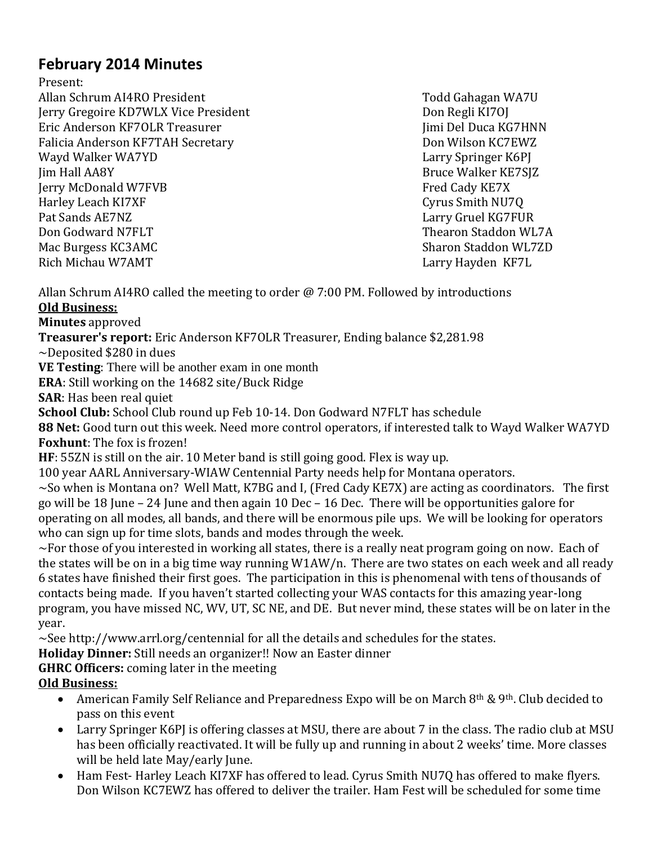# **February 2014 Minutes**

Present:

Allan Schrum AI4RO President Todd Gahagan WA7U Jerry Gregoire KD7WLX Vice President Don Regli KI7OJ Eric Anderson KF7OLR Treasurer Jumi Del Duca KG7HNN Falicia Anderson KF7TAH Secretary Don Wilson KC7EWZ Wayd Walker WA7YD **Larry Springer K6PJ** Jim Hall AA8Y Bruce Walker KE7SJZ **Jerry McDonald W7FVB** Fred Cady KE7X Harley Leach KI7XF Cyrus Smith NU7Q Pat Sands AE7NZ Larry Gruel KG7FUR Don Godward N7FLT Thearon Staddon WL7A Mac Burgess KC3AMC Sharon Staddon WL7ZD Rich Michau W7AMT Larry Hayden KF7L

Allan Schrum AI4RO called the meeting to order @ 7:00 PM. Followed by introductions **Old Business:**

**Minutes** approved

**Treasurer's report:** Eric Anderson KF7OLR Treasurer, Ending balance \$2,281.98

~Deposited \$280 in dues

**VE Testing**: There will be another exam in one month

**ERA**: Still working on the 14682 site/Buck Ridge

**SAR**: Has been real quiet

**School Club:** School Club round up Feb 10-14. Don Godward N7FLT has schedule

**88 Net:** Good turn out this week. Need more control operators, if interested talk to Wayd Walker WA7YD **Foxhunt**: The fox is frozen!

**HF**: 55ZN is still on the air. 10 Meter band is still going good. Flex is way up.

100 year AARL Anniversary-WIAW Centennial Party needs help for Montana operators.

~So when is Montana on? Well Matt, K7BG and I, (Fred Cady KE7X) are acting as coordinators. The first go will be 18 June – 24 June and then again 10 Dec – 16 Dec. There will be opportunities galore for operating on all modes, all bands, and there will be enormous pile ups. We will be looking for operators who can sign up for time slots, bands and modes through the week.

 $\sim$ For those of you interested in working all states, there is a really neat program going on now. Each of the states will be on in a big time way running W1AW/n. There are two states on each week and all ready 6 states have finished their first goes. The participation in this is phenomenal with tens of thousands of contacts being made. If you haven't started collecting your WAS contacts for this amazing year-long program, you have missed NC, WV, UT, SC NE, and DE. But never mind, these states will be on later in the year.

 $\sim$ See http://www.arrl.org/centennial for all the details and schedules for the states.

**Holiday Dinner:** Still needs an organizer!! Now an Easter dinner

**GHRC Officers:** coming later in the meeting

# **Old Business:**

- American Family Self Reliance and Preparedness Expo will be on March 8<sup>th</sup> & 9<sup>th</sup>. Club decided to pass on this event
- Larry Springer K6PJ is offering classes at MSU, there are about 7 in the class. The radio club at MSU has been officially reactivated. It will be fully up and running in about 2 weeks' time. More classes will be held late May/early June.
- Ham Fest- Harley Leach KI7XF has offered to lead. Cyrus Smith NU7Q has offered to make flyers. Don Wilson KC7EWZ has offered to deliver the trailer. Ham Fest will be scheduled for some time